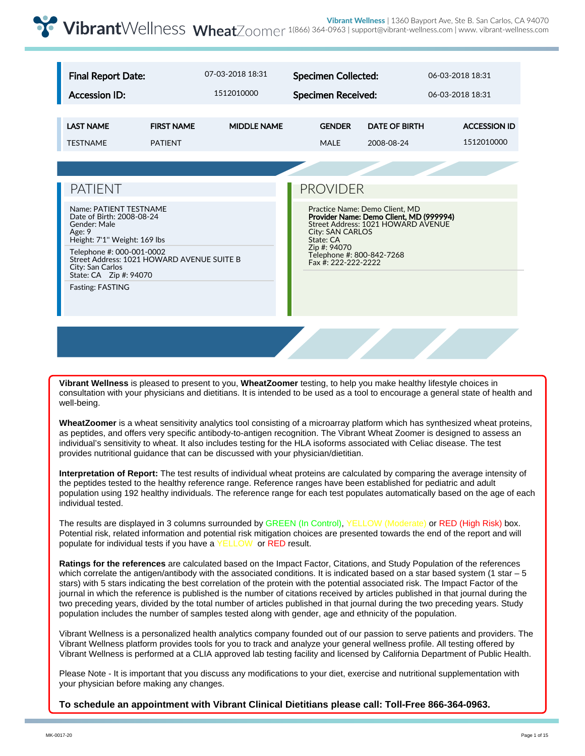| <b>Final Report Date:</b>                                                                                     |                                            | 07-03-2018 18:31   | <b>Specimen Collected:</b>                                                                                                                                                                                                                                                                                                                                            |  | 06-03-2018 18:31    |  |  |
|---------------------------------------------------------------------------------------------------------------|--------------------------------------------|--------------------|-----------------------------------------------------------------------------------------------------------------------------------------------------------------------------------------------------------------------------------------------------------------------------------------------------------------------------------------------------------------------|--|---------------------|--|--|
| <b>Accession ID:</b>                                                                                          |                                            | 1512010000         | <b>Specimen Received:</b><br>06-03-2018 18:31<br><b>GENDER</b><br><b>DATE OF BIRTH</b><br>2008-08-24<br><b>MALE</b><br><b>PROVIDER</b><br>Practice Name: Demo Client, MD<br>Provider Name: Demo Client, MD (999994)<br>Street Address: 1021 HOWARD AVENUE<br><b>City: SAN CARLOS</b><br>State: CA<br>Zip #: 94070<br>Telephone #: 800-842-7268<br>Fax #: 222-222-2222 |  |                     |  |  |
|                                                                                                               |                                            |                    |                                                                                                                                                                                                                                                                                                                                                                       |  |                     |  |  |
| <b>LAST NAME</b>                                                                                              | <b>FIRST NAME</b>                          | <b>MIDDLE NAME</b> |                                                                                                                                                                                                                                                                                                                                                                       |  | <b>ACCESSION ID</b> |  |  |
| <b>TESTNAME</b>                                                                                               | <b>PATIENT</b>                             |                    |                                                                                                                                                                                                                                                                                                                                                                       |  | 1512010000          |  |  |
|                                                                                                               |                                            |                    |                                                                                                                                                                                                                                                                                                                                                                       |  |                     |  |  |
| <b>PATIENT</b>                                                                                                |                                            |                    |                                                                                                                                                                                                                                                                                                                                                                       |  |                     |  |  |
| Name: PATIENT TESTNAME<br>Date of Birth: 2008-08-24<br>Gender: Male<br>Age: 9<br>Height: 7'1" Weight: 169 lbs |                                            |                    |                                                                                                                                                                                                                                                                                                                                                                       |  |                     |  |  |
| Telephone #: 000-001-0002<br>City: San Carlos<br>State: CA    Zip #: 94070                                    | Street Address: 1021 HOWARD AVENUE SUITE B |                    |                                                                                                                                                                                                                                                                                                                                                                       |  |                     |  |  |
| <b>Fasting: FASTING</b>                                                                                       |                                            |                    |                                                                                                                                                                                                                                                                                                                                                                       |  |                     |  |  |
|                                                                                                               |                                            |                    |                                                                                                                                                                                                                                                                                                                                                                       |  |                     |  |  |

**Vibrant Wellness** is pleased to present to you, **WheatZoomer** testing, to help you make healthy lifestyle choices in consultation with your physicians and dietitians. It is intended to be used as a tool to encourage a general state of health and well-being.

**WheatZoomer** is a wheat sensitivity analytics tool consisting of a microarray platform which has synthesized wheat proteins, as peptides, and offers very specific antibody-to-antigen recognition. The Vibrant Wheat Zoomer is designed to assess an individual's sensitivity to wheat. It also includes testing for the HLA isoforms associated with Celiac disease. The test provides nutritional guidance that can be discussed with your physician/dietitian.

**Interpretation of Report:** The test results of individual wheat proteins are calculated by comparing the average intensity of the peptides tested to the healthy reference range. Reference ranges have been established for pediatric and adult population using 192 healthy individuals. The reference range for each test populates automatically based on the age of each individual tested.

The results are displayed in 3 columns surrounded by GREEN (In Control), YELLOW (Moderate) or RED (High Risk) box. Potential risk, related information and potential risk mitigation choices are presented towards the end of the report and will populate for individual tests if you have a YELLOW or RED result.

**Ratings for the references** are calculated based on the Impact Factor, Citations, and Study Population of the references which correlate the antigen/antibody with the associated conditions. It is indicated based on a star based system (1 star – 5 stars) with 5 stars indicating the best correlation of the protein with the potential associated risk. The Impact Factor of the journal in which the reference is published is the number of citations received by articles published in that journal during the two preceding years, divided by the total number of articles published in that journal during the two preceding years. Study population includes the number of samples tested along with gender, age and ethnicity of the population.

Vibrant Wellness is a personalized health analytics company founded out of our passion to serve patients and providers. The Vibrant Wellness platform provides tools for you to track and analyze your general wellness profile. All testing offered by Vibrant Wellness is performed at a CLIA approved lab testing facility and licensed by California Department of Public Health.

Please Note - It is important that you discuss any modifications to your diet, exercise and nutritional supplementation with your physician before making any changes.

**To schedule an appointment with Vibrant Clinical Dietitians please call: Toll-Free 866-364-0963.**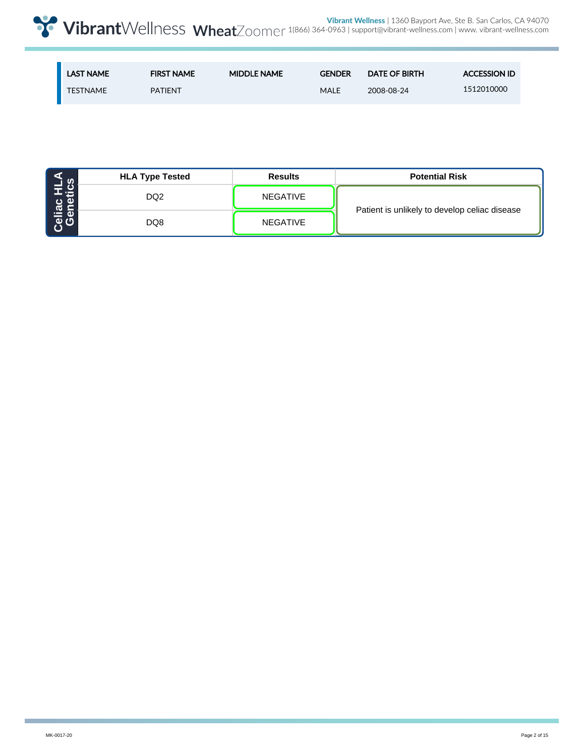| <b>LAST NAME</b> | <b>FIRST NAME</b> | <b>MIDDLE NAME</b> | <b>GENDER</b> | <b>DATE OF BIRTH</b> | <b>ACCESSION ID</b> |
|------------------|-------------------|--------------------|---------------|----------------------|---------------------|
| <b>TESTNAME</b>  | <b>PATIENT</b>    |                    | <b>MALE</b>   | 2008-08-24           | 1512010000          |

|                             | <b>HLA Type Tested</b> | <b>Results</b>  | <b>Potential Risk</b>                         |  |  |  |
|-----------------------------|------------------------|-----------------|-----------------------------------------------|--|--|--|
| <b>Cenetics</b><br>Genetics | DQ <sub>2</sub>        | <b>NEGATIVE</b> |                                               |  |  |  |
|                             | DQ8                    | <b>NEGATIVE</b> | Patient is unlikely to develop celiac disease |  |  |  |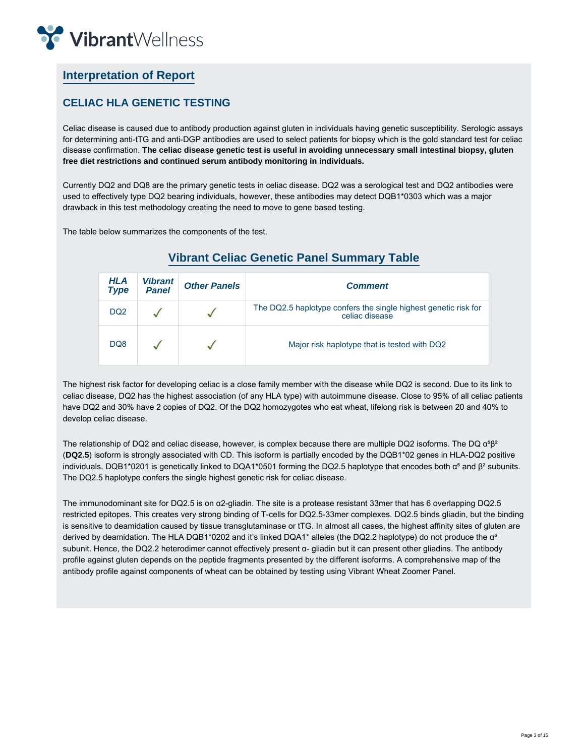

# **Interpretation of Report**

### **CELIAC HLA GENETIC TESTING**

Celiac disease is caused due to antibody production against gluten in individuals having genetic susceptibility. Serologic assays for determining anti-tTG and anti-DGP antibodies are used to select patients for biopsy which is the gold standard test for celiac disease confirmation. **The celiac disease genetic test is useful in avoiding unnecessary small intestinal biopsy, gluten free diet restrictions and continued serum antibody monitoring in individuals.**

Currently DQ2 and DQ8 are the primary genetic tests in celiac disease. DQ2 was a serological test and DQ2 antibodies were used to effectively type DQ2 bearing individuals, however, these antibodies may detect DQB1\*0303 which was a major drawback in this test methodology creating the need to move to gene based testing.

The table below summarizes the components of the test.

| HLA<br><b>Type</b> | <b>Vibrant</b><br><b>Panel</b> | <b>Other Panels</b> | <b>Comment</b>                                                                    |
|--------------------|--------------------------------|---------------------|-----------------------------------------------------------------------------------|
| DQ <sub>2</sub>    |                                |                     | The DQ2.5 haplotype confers the single highest genetic risk for<br>celiac disease |
| DQ8                |                                |                     | Major risk haplotype that is tested with DQ2                                      |

# **Vibrant Celiac Genetic Panel Summary Table**

The highest risk factor for developing celiac is a close family member with the disease while DQ2 is second. Due to its link to celiac disease, DQ2 has the highest association (of any HLA type) with autoimmune disease. Close to 95% of all celiac patients have DQ2 and 30% have 2 copies of DQ2. Of the DQ2 homozygotes who eat wheat, lifelong risk is between 20 and 40% to develop celiac disease.

The relationship of DQ2 and celiac disease, however, is complex because there are multiple DQ2 isoforms. The DQ  $\alpha$ <sup>s</sup> $\beta$ <sup>2</sup> (**DQ2.5**) isoform is strongly associated with CD. This isoform is partially encoded by the DQB1\*02 genes in HLA-DQ2 positive individuals. DQB1\*0201 is genetically linked to DQA1\*0501 forming the DQ2.5 haplotype that encodes both  $α<sup>s</sup>$  and  $β<sup>2</sup>$  subunits. The DQ2.5 haplotype confers the single highest genetic risk for celiac disease.

The immunodominant site for DQ2.5 is on α2-gliadin. The site is a protease resistant 33mer that has 6 overlapping DQ2.5 restricted epitopes. This creates very strong binding of T-cells for DQ2.5-33mer complexes. DQ2.5 binds gliadin, but the binding is sensitive to deamidation caused by tissue transglutaminase or tTG. In almost all cases, the highest affinity sites of gluten are derived by deamidation. The HLA DQB1\*0202 and it's linked DQA1\* alleles (the DQ2.2 haplotype) do not produce the α<sup>5</sup> subunit. Hence, the DQ2.2 heterodimer cannot effectively present α- gliadin but it can present other gliadins. The antibody profile against gluten depends on the peptide fragments presented by the different isoforms. A comprehensive map of the antibody profile against components of wheat can be obtained by testing using Vibrant Wheat Zoomer Panel.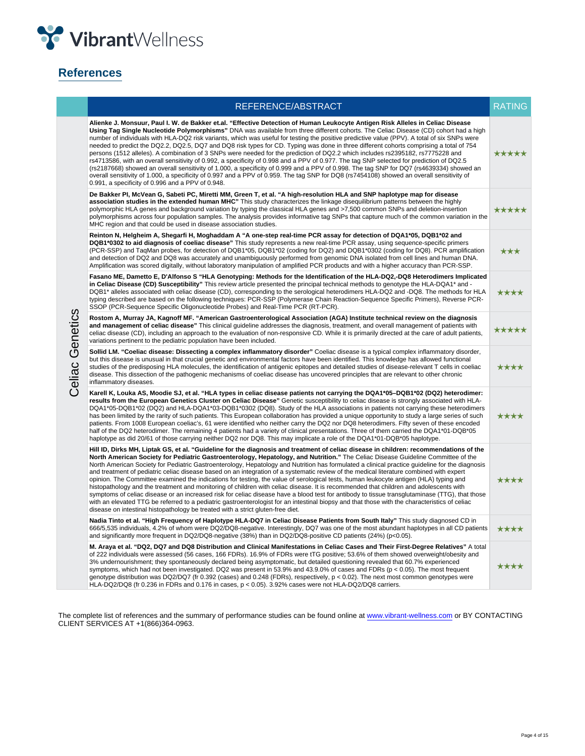

# **References**

|                 | REFERENCE/ABSTRACT                                                                                                                                                                                                                                                                                                                                                                                                                                                                                                                                                                                                                                                                                                                                                                                                                                                                                                                                                                                                                                                                                                                                                                                                                             | <b>RATING</b> |  |  |  |  |  |
|-----------------|------------------------------------------------------------------------------------------------------------------------------------------------------------------------------------------------------------------------------------------------------------------------------------------------------------------------------------------------------------------------------------------------------------------------------------------------------------------------------------------------------------------------------------------------------------------------------------------------------------------------------------------------------------------------------------------------------------------------------------------------------------------------------------------------------------------------------------------------------------------------------------------------------------------------------------------------------------------------------------------------------------------------------------------------------------------------------------------------------------------------------------------------------------------------------------------------------------------------------------------------|---------------|--|--|--|--|--|
|                 | Alienke J. Monsuur, Paul I. W. de Bakker et.al. "Effective Detection of Human Leukocyte Antigen Risk Alleles in Celiac Disease<br>Using Tag Single Nucleotide Polymorphisms" DNA was available from three different cohorts. The Celiac Disease (CD) cohort had a high<br>number of individuals with HLA-DQ2 risk variants, which was useful for testing the positive predictive value (PPV). A total of six SNPs were<br>needed to predict the DQ2.2, DQ2.5, DQ7 and DQ8 risk types for CD. Typing was done in three different cohorts comprising a total of 754<br>persons (1512 alleles). A combination of 3 SNPs were needed for the prediction of DQ2.2 which includes rs2395182, rs7775228 and<br>rs4713586, with an overall sensitivity of 0.992, a specificity of 0.998 and a PPV of 0.977. The tag SNP selected for prediction of DQ2.5<br>(rs2187668) showed an overall sensitivity of 1.000, a specificity of 0.999 and a PPV of 0.998. The tag SNP for DQ7 (rs4639334) showed an<br>overall sensitivity of 1.000, a specificity of 0.997 and a PPV of 0.959. The tag SNP for DQ8 (rs7454108) showed an overall sensitivity of<br>0.991, a specificity of 0.996 and a PPV of 0.948.                                                 | *****         |  |  |  |  |  |
|                 | De Bakker PI, McVean G, Sabeti PC, Miretti MM, Green T, et al. "A high-resolution HLA and SNP haplotype map for disease<br>association studies in the extended human MHC" This study characterizes the linkage disequilibrium patterns between the highly<br>polymorphic HLA genes and background variation by typing the classical HLA genes and >7,500 common SNPs and deletion-insertion<br>polymorphisms across four population samples. The analysis provides informative tag SNPs that capture much of the common variation in the<br>MHC region and that could be used in disease association studies.                                                                                                                                                                                                                                                                                                                                                                                                                                                                                                                                                                                                                                  | *****         |  |  |  |  |  |
|                 | Reinton N, Helgheim A, Shegarfi H, Moghaddam A "A one-step real-time PCR assay for detection of DQA1*05, DQB1*02 and<br>DQB1*0302 to aid diagnosis of coeliac disease" This study represents a new real-time PCR assay, using sequence-specific primers<br>(PCR-SSP) and TagMan probes, for detection of DQB1*05, DQB1*02 (coding for DQ2) and DQB1*0302 (coding for DQ8). PCR amplification<br>and detection of DQ2 and DQ8 was accurately and unambiguously performed from genomic DNA isolated from cell lines and human DNA.<br>Amplification was scored digitally, without laboratory manipulation of amplified PCR products and with a higher accuracy than PCR-SSP.                                                                                                                                                                                                                                                                                                                                                                                                                                                                                                                                                                     | ★★★           |  |  |  |  |  |
|                 | Fasano ME, Dametto E, D'Alfonso S "HLA Genotyping: Methods for the Identification of the HLA-DQ2,-DQ8 Heterodimers Implicated<br>in Celiac Disease (CD) Susceptibility" This review article presented the principal technical methods to genotype the HLA-DQA1* and -<br>DQB1* alleles associated with celiac disease (CD), corresponding to the serological heterodimers HLA-DQ2 and -DQ8. The methods for HLA<br>★★★★<br>typing described are based on the following techniques: PCR-SSP (Polymerase Chain Reaction-Sequence Specific Primers), Reverse PCR-<br>SSOP (PCR-Sequence Specific Oligonucleotide Probes) and Real-Time PCR (RT-PCR).                                                                                                                                                                                                                                                                                                                                                                                                                                                                                                                                                                                              |               |  |  |  |  |  |
|                 | Rostom A, Murray JA, Kagnoff MF. "American Gastroenterological Association (AGA) Institute technical review on the diagnosis<br>and management of celiac disease" This clinical guideline addresses the diagnosis, treatment, and overall management of patients with<br>celiac disease (CD), including an approach to the evaluation of non-responsive CD. While it is primarily directed at the care of adult patients,<br>variations pertinent to the pediatric population have been included.                                                                                                                                                                                                                                                                                                                                                                                                                                                                                                                                                                                                                                                                                                                                              | *****         |  |  |  |  |  |
| Celiac Genetics | Sollid LM. "Coeliac disease: Dissecting a complex inflammatory disorder" Coeliac disease is a typical complex inflammatory disorder,<br>but this disease is unusual in that crucial genetic and environmental factors have been identified. This knowledge has allowed functional<br>studies of the predisposing HLA molecules, the identification of antigenic epitopes and detailed studies of disease-relevant T cells in coeliac<br>disease. This dissection of the pathogenic mechanisms of coeliac disease has uncovered principles that are relevant to other chronic<br>inflammatory diseases.                                                                                                                                                                                                                                                                                                                                                                                                                                                                                                                                                                                                                                         | ****          |  |  |  |  |  |
|                 | Karell K, Louka AS, Moodie SJ, et al. "HLA types in celiac disease patients not carrying the DQA1*05-DQB1*02 (DQ2) heterodimer:<br>results from the European Genetics Cluster on Celiac Disease" Genetic susceptibility to celiac disease is strongly associated with HLA-<br>DQA1*05-DQB1*02 (DQ2) and HLA-DQA1*03-DQB1*0302 (DQ8). Study of the HLA associations in patients not carrying these heterodimers<br>has been limited by the rarity of such patients. This European collaboration has provided a unique opportunity to study a large series of such<br>patients. From 1008 European coeliac's, 61 were identified who neither carry the DQ2 nor DQ8 heterodimers. Fifty seven of these encoded<br>half of the DQ2 heterodimer. The remaining 4 patients had a variety of clinical presentations. Three of them carried the DQA1*01-DQB*05<br>haplotype as did 20/61 of those carrying neither DQ2 nor DQ8. This may implicate a role of the DQA1*01-DQB*05 haplotype.                                                                                                                                                                                                                                                             | ****          |  |  |  |  |  |
|                 | Hill ID, Dirks MH, Liptak GS, et al. "Guideline for the diagnosis and treatment of celiac disease in children: recommendations of the<br>North American Society for Pediatric Gastroenterology, Hepatology, and Nutrition." The Celiac Disease Guideline Committee of the<br>North American Society for Pediatric Gastroenterology, Hepatology and Nutrition has formulated a clinical practice guideline for the diagnosis<br>and treatment of pediatric celiac disease based on an integration of a systematic review of the medical literature combined with expert<br>opinion. The Committee examined the indications for testing, the value of serological tests, human leukocyte antigen (HLA) typing and<br>histopathology and the treatment and monitoring of children with celiac disease. It is recommended that children and adolescents with<br>symptoms of celiac disease or an increased risk for celiac disease have a blood test for antibody to tissue transglutaminase (TTG), that those<br>with an elevated TTG be referred to a pediatric gastroenterologist for an intestinal biopsy and that those with the characteristics of celiac<br>disease on intestinal histopathology be treated with a strict gluten-free diet. | ****          |  |  |  |  |  |
|                 | Nadia Tinto et al. "High Frequency of Haplotype HLA-DQ7 in Celiac Disease Patients from South Italy" This study diagnosed CD in<br>666/5,535 individuals, 4.2% of whom were DQ2/DQ8-negative. Interestingly, DQ7 was one of the most abundant haplotypes in all CD patients<br>and significantly more frequent in DQ2/DQ8-negative (38%) than in DQ2/DQ8-positive CD patients (24%) (p<0.05).                                                                                                                                                                                                                                                                                                                                                                                                                                                                                                                                                                                                                                                                                                                                                                                                                                                  | ****          |  |  |  |  |  |
|                 | M. Araya et al. "DQ2, DQ7 and DQ8 Distribution and Clinical Manifestations in Celiac Cases and Their First-Degree Relatives" A total<br>of 222 individuals were assessed (56 cases, 166 FDRs). 16.9% of FDRs were tTG positive; 53.6% of them showed overweight/obesity and<br>3% undernourishment; they spontaneously declared being asymptomatic, but detailed questioning revealed that 60.7% experienced<br>symptoms, which had not been investigated. DQ2 was present in 53.9% and 43.9.0% of cases and FDRs ( $p < 0.05$ ). The most frequent<br>genotype distribution was DQ2/DQ7 (fr 0.392 (cases) and 0.248 (FDRs), respectively, p < 0.02). The next most common genotypes were<br>HLA-DQ2/DQ8 (fr 0.236 in FDRs and 0.176 in cases, p < 0.05). 3.92% cases were not HLA-DQ2/DQ8 carriers.                                                                                                                                                                                                                                                                                                                                                                                                                                           | ****          |  |  |  |  |  |

The complete list of references and the summary of performance studies can be found online at www.vibrant-wellness.com or BY CONTACTING CLIENT SERVICES AT +1(866)364-0963.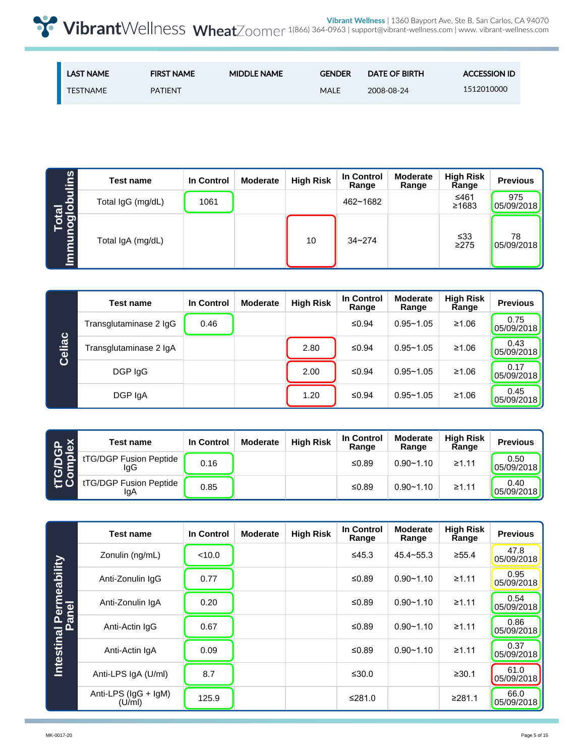| <b>LAST NAME</b> | <b>FIRST NAME</b> | <b>MIDDLE NAME</b> | <b>GENDER</b> | <b>DATE OF BIRTH</b> | <b>ACCESSION ID</b> |
|------------------|-------------------|--------------------|---------------|----------------------|---------------------|
| TESTNAME         | <b>PATIENT</b>    |                    | MALE          | 2008-08-24           | 1512010000          |

|                      | Test name         | In Control | <b>Moderate</b> | <b>High Risk</b> | In Control<br>Range | <b>Moderate</b><br>Range | <b>High Risk</b><br>Range | <b>Previous</b>   |
|----------------------|-------------------|------------|-----------------|------------------|---------------------|--------------------------|---------------------------|-------------------|
| Total<br>loglobulins | Total IgG (mg/dL) | 1061       |                 |                  | 462~1682            |                          | ≤461<br>≥1683             | 975<br>05/09/2018 |
| <u>Immur</u>         | Total IgA (mg/dL) |            |                 | 10               | $34 - 274$          |                          | $\leq 33$<br>$\geq$ 275   | 78<br>05/09/2018  |

|        | <b>Test name</b>       | In Control | <b>Moderate</b> | <b>High Risk</b> | In Control<br>Range | <b>Moderate</b><br>Range | <b>High Risk</b><br>Range | <b>Previous</b>    |
|--------|------------------------|------------|-----------------|------------------|---------------------|--------------------------|---------------------------|--------------------|
|        | Transglutaminase 2 IgG | 0.46       |                 |                  | ≤0.94               | $0.95 - 1.05$            | ≥1.06                     | 0.75<br>05/09/2018 |
| Celiac | Transglutaminase 2 IgA |            |                 | 2.80             | ≤0.94               | $0.95 - 1.05$            | ≥1.06                     | 0.43<br>05/09/2018 |
|        | DGP IgG                |            |                 | 2.00             | ≤0.94               | $0.95 - 1.05$            | ≥1.06                     | 0.17<br>05/09/2018 |
|        | DGP IgA                |            |                 | 1.20             | ≤0.94               | $0.95 - 1.05$            | ≥1.06                     | 0.45<br>05/09/2018 |

|                                                 | <b>Test name</b>              | In Control | <b>Moderate</b> | <b>High Risk</b> | In Control<br>Range | <b>Moderate</b><br>Range | <b>High Risk</b><br>Range | <b>Previous</b>    |
|-------------------------------------------------|-------------------------------|------------|-----------------|------------------|---------------------|--------------------------|---------------------------|--------------------|
| <b>PGP</b><br>nplex<br>$\overline{\sigma}$<br>ပ | tTG/DGP Fusion Peptide<br>lgG | 0.16       |                 |                  | ≤0.89               | $0.90 - 1.10$            | ≥1.11                     | 0.50<br>05/09/2018 |
|                                                 | tTG/DGP Fusion Peptide<br>lgA | 0.85       |                 |                  | ≤0.89               | $0.90 - 1.10$            | ≥1.11                     | 0.40<br>05/09/2018 |

|                                  | <b>Test name</b>              | In Control | <b>Moderate</b> | <b>High Risk</b> | <b>In Control</b><br>Range | <b>Moderate</b><br>Range | <b>High Risk</b><br>Range | <b>Previous</b>    |
|----------------------------------|-------------------------------|------------|-----------------|------------------|----------------------------|--------------------------|---------------------------|--------------------|
|                                  | Zonulin (ng/mL)               | < 10.0     |                 |                  | ≤45.3                      | $45.4 - 55.3$            | ≥55.4                     | 47.8<br>05/09/2018 |
| Intestinal Permeability<br>Panel | Anti-Zonulin IgG              | 0.77       |                 |                  | ≤0.89                      | $0.90 - 1.10$            | ≥1.11                     | 0.95<br>05/09/2018 |
|                                  | Anti-Zonulin IgA              | 0.20       |                 |                  | ≤0.89                      | $0.90 - 1.10$            | ≥1.11                     | 0.54<br>05/09/2018 |
|                                  | Anti-Actin IgG                | 0.67       |                 |                  | ≤0.89                      | $0.90 - 1.10$            | ≥1.11                     | 0.86<br>05/09/2018 |
|                                  | Anti-Actin IgA                | 0.09       |                 |                  | ≤ $0.89$                   | $0.90 - 1.10$            | ≥1.11                     | 0.37<br>05/09/2018 |
|                                  | Anti-LPS IgA (U/ml)           | 8.7        |                 |                  | ≤30.0                      |                          | ≥30.1                     | 61.0<br>05/09/2018 |
|                                  | Anti-LPS (IgG + IgM)<br>(U/m) | 125.9      |                 |                  | ≤281.0                     |                          | ≥281.1                    | 66.0<br>05/09/2018 |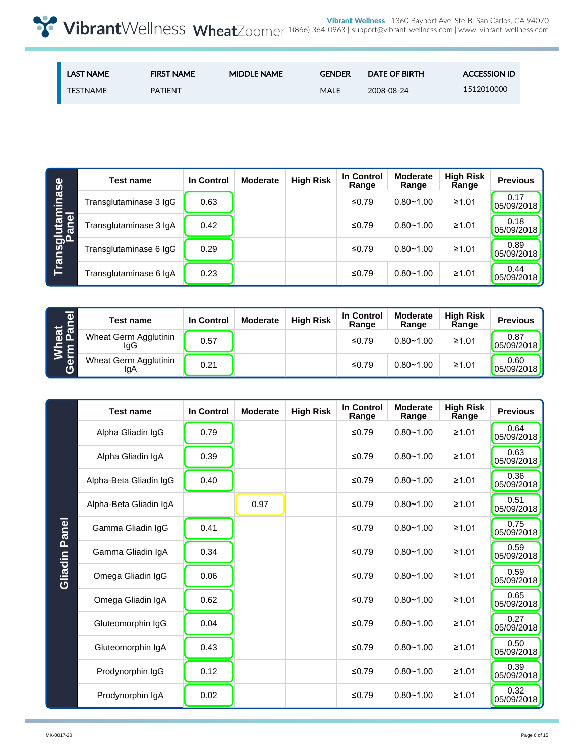| <b>LAST NAME</b> | <b>FIRST NAME</b> | <b>MIDDLE NAME</b> | <b>GENDER</b> | <b>DATE OF BIRTH</b> | <b>ACCESSION ID</b> |
|------------------|-------------------|--------------------|---------------|----------------------|---------------------|
| <b>TESTNAME</b>  | <b>PATIENT</b>    |                    | <b>MALE</b>   | 2008-08-24           | 1512010000          |

|                           | <b>Test name</b>       | In Control | <b>Moderate</b> | <b>High Risk</b> | <b>In Control</b><br>Range | <b>Moderate</b><br>Range | <b>High Risk</b><br>Range | <b>Previous</b>    |
|---------------------------|------------------------|------------|-----------------|------------------|----------------------------|--------------------------|---------------------------|--------------------|
|                           | Transglutaminase 3 IgG | 0.63       |                 |                  | ≤0.79                      | $0.80 - 1.00$            | ≥1.01                     | 0.17<br>05/09/2018 |
| Transglutaminase<br>Panel | Transglutaminase 3 IgA | 0.42       |                 |                  | ≤0.79                      | $0.80 - 1.00$            | ≥1.01                     | 0.18<br>05/09/2018 |
|                           | Transglutaminase 6 IgG | 0.29       |                 |                  | ≤0.79                      | $0.80 - 1.00$            | ≥1.01                     | 0.89<br>05/09/2018 |
|                           | Transglutaminase 6 IgA | 0.23       |                 |                  | ≤0.79                      | $0.80 - 1.00$            | ≥1.01                     | 0.44<br>05/09/2018 |

| $\overline{\bullet}$    | <b>Test name</b>             | In Control | <b>Moderate</b> | <b>High Risk</b> | In Control<br>Range | <b>Moderate</b><br>Range | <b>High Risk</b><br>Range | <b>Previous</b>    |
|-------------------------|------------------------------|------------|-----------------|------------------|---------------------|--------------------------|---------------------------|--------------------|
| <mark>ធូត</mark><br>Pai | Wheat Germ Agglutinin<br>IgG | 0.57       |                 |                  | ≤0.79               | $0.80 - 1.00$            | ≥1.01                     | 0.87<br>05/09/2018 |
| ia<br>이<br>ග            | Wheat Germ Agglutinin<br>lgA | 0.21       |                 |                  | ≤0.79               | $0.80 - 1.00$            | ≥1.01                     | 0.60<br>05/09/2018 |

|               | <b>Test name</b>       | In Control | <b>Moderate</b> | <b>High Risk</b> | <b>In Control</b><br>Range | <b>Moderate</b><br>Range | <b>High Risk</b><br>Range | <b>Previous</b>    |
|---------------|------------------------|------------|-----------------|------------------|----------------------------|--------------------------|---------------------------|--------------------|
|               | Alpha Gliadin IgG      | 0.79       |                 |                  | ≤ $0.79$                   | $0.80 - 1.00$            | ≥1.01                     | 0.64<br>05/09/2018 |
|               | Alpha Gliadin IgA      | 0.39       |                 |                  | $≤0.79$                    | $0.80 - 1.00$            | ≥1.01                     | 0.63<br>05/09/2018 |
|               | Alpha-Beta Gliadin IgG | 0.40       |                 |                  | $≤0.79$                    | $0.80 - 1.00$            | ≥1.01                     | 0.36<br>05/09/2018 |
|               | Alpha-Beta Gliadin IgA |            | 0.97            |                  | $≤0.79$                    | $0.80 - 1.00$            | ≥1.01                     | 0.51<br>05/09/2018 |
|               | Gamma Gliadin IgG      | 0.41       |                 |                  | ≤0.79                      | $0.80 - 1.00$            | ≥1.01                     | 0.75<br>05/09/2018 |
| Gliadin Panel | Gamma Gliadin IgA      | 0.34       |                 |                  | $≤0.79$                    | $0.80 - 1.00$            | ≥1.01                     | 0.59<br>05/09/2018 |
|               | Omega Gliadin IgG      | 0.06       |                 |                  | $≤0.79$                    | $0.80 - 1.00$            | ≥1.01                     | 0.59<br>05/09/2018 |
|               | Omega Gliadin IgA      | 0.62       |                 |                  | $≤0.79$                    | $0.80 - 1.00$            | ≥1.01                     | 0.65<br>05/09/2018 |
|               | Gluteomorphin IgG      | 0.04       |                 |                  | $≤0.79$                    | $0.80 - 1.00$            | ≥1.01                     | 0.27<br>05/09/2018 |
|               | Gluteomorphin IgA      | 0.43       |                 |                  | $≤0.79$                    | $0.80 - 1.00$            | ≥1.01                     | 0.50<br>05/09/2018 |
|               | Prodynorphin IgG       | 0.12       |                 |                  | ≤ $0.79$                   | $0.80 - 1.00$            | ≥1.01                     | 0.39<br>05/09/2018 |
|               | Prodynorphin IgA       | 0.02       |                 |                  | $≤0.79$                    | $0.80 - 1.00$            | ≥1.01                     | 0.32<br>05/09/2018 |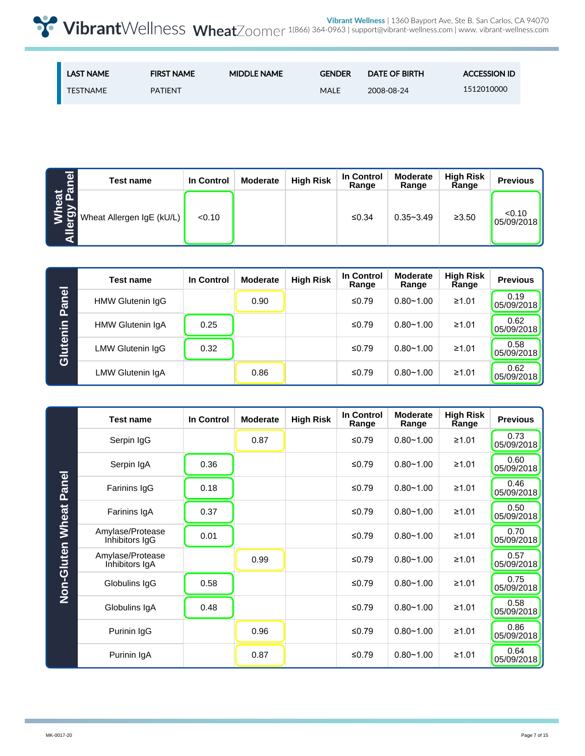| <b>LAST NAME</b> | <b>FIRST NAME</b> | <b>MIDDLE NAME</b> | <b>GENDER</b> | <b>DATE OF BIRTH</b> | <b>ACCESSION ID</b> |
|------------------|-------------------|--------------------|---------------|----------------------|---------------------|
| <b>TESTNAME</b>  | <b>PATIENT</b>    |                    | <b>MALE</b>   | 2008-08-24           | 1512010000          |

| len                        | <b>Test name</b>          | In Control | <b>Moderate</b> | <b>High Risk</b> | In Control<br>Range | <b>Moderate</b><br>Range | <b>High Risk</b><br>Range | <b>Previous</b>      |
|----------------------------|---------------------------|------------|-----------------|------------------|---------------------|--------------------------|---------------------------|----------------------|
| eat<br>, Pa<br>Φ<br>⋿<br>ď | Wheat Allergen IgE (kU/L) | < 0.10     |                 |                  | ≤0.34               | $0.35 - 3.49$            | ≥3.50                     | < 0.10<br>05/09/2018 |

|          | <b>Test name</b> | In Control | <b>Moderate</b> | <b>High Risk</b> | In Control<br>Range | <b>Moderate</b><br>Range | <b>High Risk</b><br>Range | <b>Previous</b>    |
|----------|------------------|------------|-----------------|------------------|---------------------|--------------------------|---------------------------|--------------------|
| Panel    | HMW Glutenin IgG |            | 0.90            |                  | ≤0.79               | $0.80 - 1.00$            | ≥1.01                     | 0.19<br>05/09/2018 |
|          | HMW Glutenin IgA | 0.25       |                 |                  | ≤0.79               | $0.80 - 1.00$            | ≥1.01                     | 0.62<br>05/09/2018 |
| Glutenin | LMW Glutenin IgG | 0.32       |                 |                  | ≤0.79               | $0.80 - 1.00$            | ≥1.01                     | 0.58<br>05/09/2018 |
|          | LMW Glutenin IgA |            | 0.86            |                  | ≤0.79               | $0.80 - 1.00$            | ≥1.01                     | 0.62<br>05/09/2018 |

|              | <b>Test name</b>                   | <b>In Control</b> | <b>Moderate</b> | <b>High Risk</b> | In Control<br>Range | <b>Moderate</b><br>Range | <b>High Risk</b><br>Range | <b>Previous</b>    |
|--------------|------------------------------------|-------------------|-----------------|------------------|---------------------|--------------------------|---------------------------|--------------------|
|              | Serpin IgG                         |                   | 0.87            |                  | ≤ $0.79$            | $0.80 - 1.00$            | ≥1.01                     | 0.73<br>05/09/2018 |
|              | Serpin IgA                         | 0.36              |                 |                  | ≤ $0.79$            | $0.80 - 1.00$            | ≥1.01                     | 0.60<br>05/09/2018 |
| <b>Panel</b> | Farinins IgG                       | 0.18              |                 |                  | ≤0.79               | $0.80 - 1.00$            | ≥1.01                     | 0.46<br>05/09/2018 |
| <b>Wheat</b> | Farinins IgA                       | 0.37              |                 |                  | ≤ $0.79$            | $0.80 - 1.00$            | ≥1.01                     | 0.50<br>05/09/2018 |
|              | Amylase/Protease<br>Inhibitors IgG | 0.01              |                 |                  | ≤0.79               | $0.80 - 1.00$            | ≥1.01                     | 0.70<br>05/09/2018 |
| Non-Gluten   | Amylase/Protease<br>Inhibitors IgA |                   | 0.99            |                  | ≤0.79               | $0.80 - 1.00$            | ≥1.01                     | 0.57<br>05/09/2018 |
|              | Globulins IgG                      | 0.58              |                 |                  | ≤ $0.79$            | $0.80 - 1.00$            | ≥1.01                     | 0.75<br>05/09/2018 |
|              | Globulins IgA                      | 0.48              |                 |                  | ≤0.79               | $0.80 - 1.00$            | ≥1.01                     | 0.58<br>05/09/2018 |
|              | Purinin IgG                        |                   | 0.96            |                  | ≤ $0.79$            | $0.80 - 1.00$            | ≥1.01                     | 0.86<br>05/09/2018 |
|              | Purinin IgA                        |                   | 0.87            |                  | ≤0.79               | $0.80 - 1.00$            | ≥1.01                     | 0.64<br>05/09/2018 |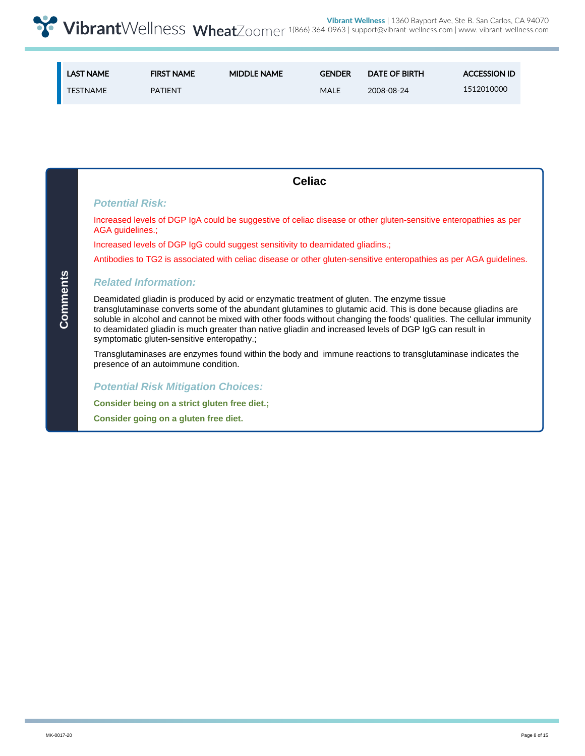| <b>LAST NAME</b> | <b>FIRST NAME</b> | <b>MIDDLE NAME</b> | <b>GENDER</b> | DATE OF BIRTH | <b>ACCESSION ID</b> |
|------------------|-------------------|--------------------|---------------|---------------|---------------------|
| <b>TESTNAME</b>  | <b>PATIFNT</b>    |                    | MALE          | 2008-08-24    | 1512010000          |

|          | <b>Celiac</b>                                                                                                                                                                                                                                                                                                                                                                                                                                                                                |
|----------|----------------------------------------------------------------------------------------------------------------------------------------------------------------------------------------------------------------------------------------------------------------------------------------------------------------------------------------------------------------------------------------------------------------------------------------------------------------------------------------------|
|          | <b>Potential Risk:</b>                                                                                                                                                                                                                                                                                                                                                                                                                                                                       |
|          | Increased levels of DGP IgA could be suggestive of celiac disease or other gluten-sensitive enteropathies as per<br>AGA guidelines.;                                                                                                                                                                                                                                                                                                                                                         |
|          | Increased levels of DGP IgG could suggest sensitivity to deamidated gliadins.:                                                                                                                                                                                                                                                                                                                                                                                                               |
|          | Antibodies to TG2 is associated with celiac disease or other gluten-sensitive enteropathies as per AGA guidelines.                                                                                                                                                                                                                                                                                                                                                                           |
|          | <b>Related Information:</b>                                                                                                                                                                                                                                                                                                                                                                                                                                                                  |
| Comments | Deamidated gliadin is produced by acid or enzymatic treatment of gluten. The enzyme tissue<br>transglutaminase converts some of the abundant glutamines to glutamic acid. This is done because gliadins are<br>soluble in alcohol and cannot be mixed with other foods without changing the foods' qualities. The cellular immunity<br>to deamidated gliadin is much greater than native gliadin and increased levels of DGP IgG can result in<br>symptomatic gluten-sensitive enteropathy.; |
|          | Transglutaminases are enzymes found within the body and immune reactions to transglutaminase indicates the<br>presence of an autoimmune condition.                                                                                                                                                                                                                                                                                                                                           |
|          | <b>Potential Risk Mitigation Choices:</b>                                                                                                                                                                                                                                                                                                                                                                                                                                                    |
|          | Consider being on a strict gluten free diet.;                                                                                                                                                                                                                                                                                                                                                                                                                                                |
|          | Consider going on a gluten free diet.                                                                                                                                                                                                                                                                                                                                                                                                                                                        |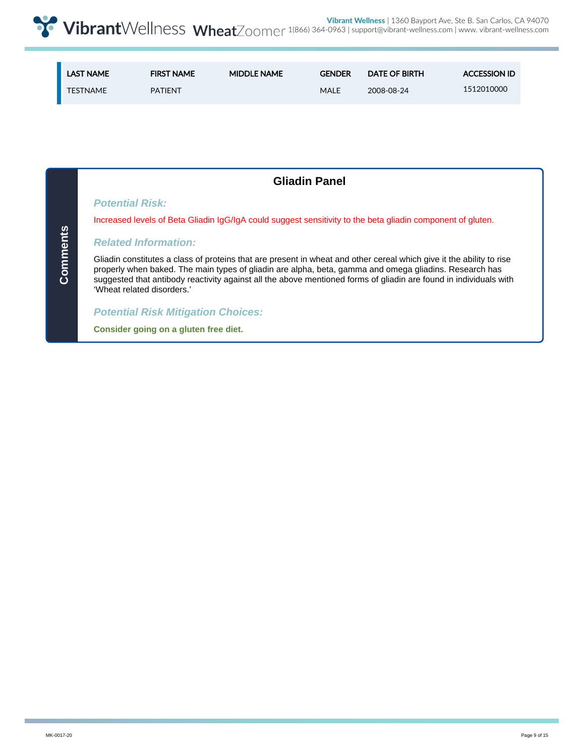| <b>LAST NAME</b> | <b>FIRST NAME</b> | <b>MIDDLE NAME</b> | <b>GENDER</b> | <b>DATE OF BIRTH</b> | <b>ACCESSION ID</b> |
|------------------|-------------------|--------------------|---------------|----------------------|---------------------|
| <b>TESTNAME</b>  | <b>PATIENT</b>    |                    | MALE          | 2008-08-24           | 1512010000          |

| <b>Gliadin Panel</b>                                                                                                                                                                                                                                                                                                                                                              |
|-----------------------------------------------------------------------------------------------------------------------------------------------------------------------------------------------------------------------------------------------------------------------------------------------------------------------------------------------------------------------------------|
| <b>Potential Risk:</b>                                                                                                                                                                                                                                                                                                                                                            |
| Increased levels of Beta Gliadin IgG/IgA could suggest sensitivity to the beta gliadin component of gluten.                                                                                                                                                                                                                                                                       |
| <b>Related Information:</b>                                                                                                                                                                                                                                                                                                                                                       |
| Gliadin constitutes a class of proteins that are present in wheat and other cereal which give it the ability to rise<br>properly when baked. The main types of gliadin are alpha, beta, gamma and omega gliadins. Research has<br>suggested that antibody reactivity against all the above mentioned forms of gliadin are found in individuals with<br>'Wheat related disorders.' |
| <b>Potential Risk Mitigation Choices:</b>                                                                                                                                                                                                                                                                                                                                         |
| Consider going on a gluten free diet.                                                                                                                                                                                                                                                                                                                                             |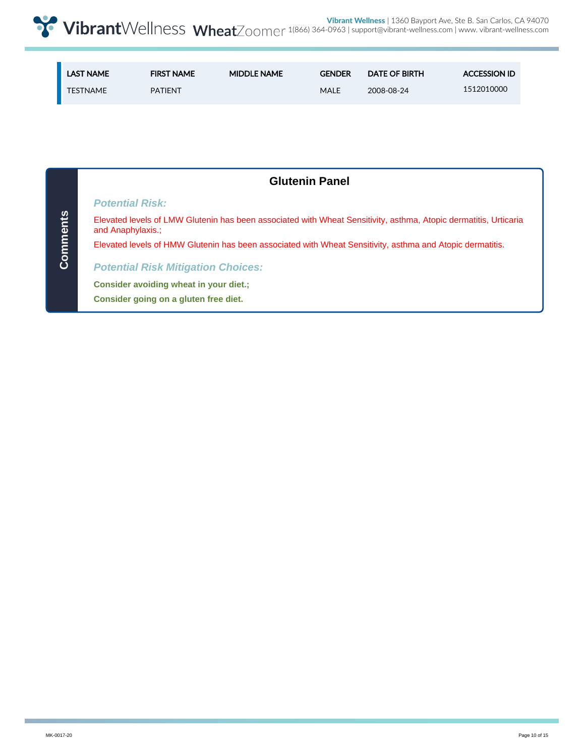| <b>LAST NAME</b> | <b>FIRST NAME</b> | <b>MIDDLE NAME</b> | <b>GENDER</b> | <b>DATE OF BIRTH</b> | <b>ACCESSION ID</b> |
|------------------|-------------------|--------------------|---------------|----------------------|---------------------|
| <b>TESTNAME</b>  | <b>PATIENT</b>    |                    | <b>MALE</b>   | 2008-08-24           | 1512010000          |

|          | <b>Glutenin Panel</b>                                                                                                                 |
|----------|---------------------------------------------------------------------------------------------------------------------------------------|
|          | <b>Potential Risk:</b>                                                                                                                |
| Comments | Elevated levels of LMW Glutenin has been associated with Wheat Sensitivity, asthma, Atopic dermatitis, Urticaria<br>and Anaphylaxis.: |
|          | Elevated levels of HMW Glutenin has been associated with Wheat Sensitivity, asthma and Atopic dermatitis.                             |
|          | <b>Potential Risk Mitigation Choices:</b>                                                                                             |
|          | Consider avoiding wheat in your diet.:                                                                                                |
|          | Consider going on a gluten free diet.                                                                                                 |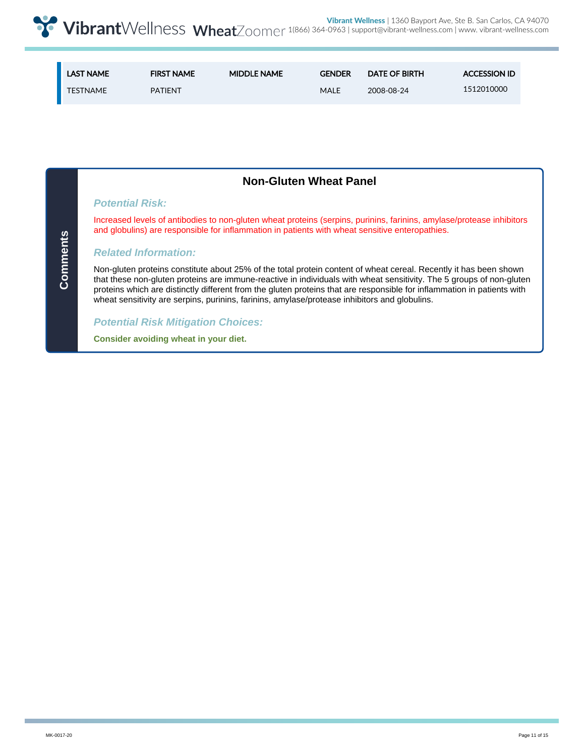| <b>LAST NAME</b> | <b>FIRST NAME</b> | <b>MIDDLE NAME</b> | <b>GENDER</b> | <b>DATE OF BIRTH</b> | <b>ACCESSION ID</b> |
|------------------|-------------------|--------------------|---------------|----------------------|---------------------|
| TESTNAME         | <b>PATIFNT</b>    |                    | MALE          | 2008-08-24           | 1512010000          |

|                             | <b>Non-Gluten Wheat Panel</b>                                                                                                                                                                                                                                                                                                                                                                                                                                         |
|-----------------------------|-----------------------------------------------------------------------------------------------------------------------------------------------------------------------------------------------------------------------------------------------------------------------------------------------------------------------------------------------------------------------------------------------------------------------------------------------------------------------|
| <b>Potential Risk:</b>      |                                                                                                                                                                                                                                                                                                                                                                                                                                                                       |
|                             | Increased levels of antibodies to non-gluten wheat proteins (serpins, purinins, farinins, amylase/protease inhibitors<br>and globulins) are responsible for inflammation in patients with wheat sensitive enteropathies.                                                                                                                                                                                                                                              |
| <b>Related Information:</b> |                                                                                                                                                                                                                                                                                                                                                                                                                                                                       |
|                             | Non-gluten proteins constitute about 25% of the total protein content of wheat cereal. Recently it has been shown<br>that these non-gluten proteins are immune-reactive in individuals with wheat sensitivity. The 5 groups of non-gluten<br>proteins which are distinctly different from the gluten proteins that are responsible for inflammation in patients with<br>wheat sensitivity are serpins, purinins, farinins, amylase/protease inhibitors and globulins. |
|                             | <b>Potential Risk Mitigation Choices:</b>                                                                                                                                                                                                                                                                                                                                                                                                                             |
|                             | Consider avoiding wheat in your diet.                                                                                                                                                                                                                                                                                                                                                                                                                                 |

**Comments**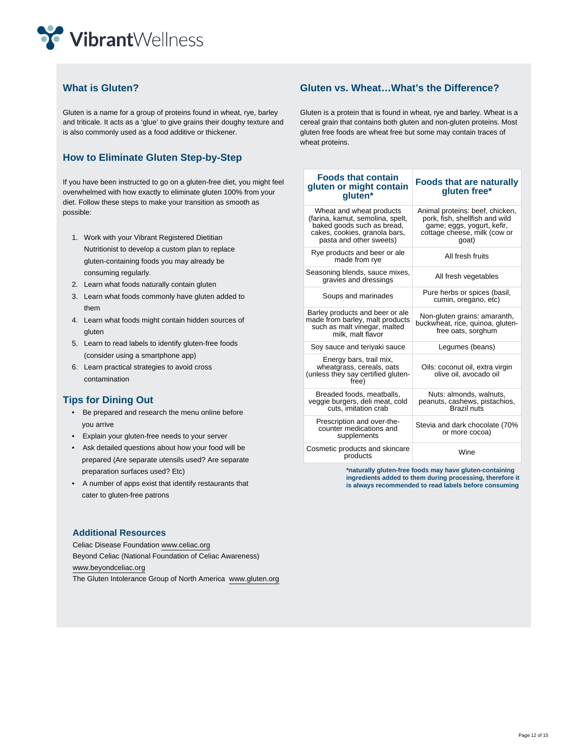

#### **What is Gluten?**

Gluten is a name for a group of proteins found in wheat, rye, barley and triticale. It acts as a 'glue' to give grains their doughy texture and is also commonly used as a food additive or thickener.

### **How to Eliminate Gluten Step-by-Step**

If you have been instructed to go on a gluten-free diet, you might feel overwhelmed with how exactly to eliminate gluten 100% from your diet. Follow these steps to make your transition as smooth as possible:

- 1. Work with your Vibrant Registered Dietitian Nutritionist to develop a custom plan to replace gluten-containing foods you may already be consuming regularly.
- 2. Learn what foods naturally contain gluten
- 3. Learn what foods commonly have gluten added to them
- 4. Learn what foods might contain hidden sources of gluten
- 5. Learn to read labels to identify gluten-free foods (consider using a smartphone app)
- 6. Learn practical strategies to avoid cross contamination

#### **Tips for Dining Out**

- Be prepared and research the menu online before you arrive
- Explain your gluten-free needs to your server
- Ask detailed questions about how your food will be prepared (Are separate utensils used? Are separate preparation surfaces used? Etc)
- A number of apps exist that identify restaurants that cater to gluten-free patrons

#### **Additional Resources**

Celiac Disease Foundation www.celiac.org Beyond Celiac (National Foundation of Celiac Awareness) www.beyondceliac.org The Gluten Intolerance Group of North America www.gluten.org

#### **Gluten vs. Wheat…What's the Difference?**

Gluten is a protein that is found in wheat, rye and barley. Wheat is a cereal grain that contains both gluten and non-gluten proteins. Most gluten free foods are wheat free but some may contain traces of wheat proteins.

| <b>Foods that contain</b><br>gluten or might contain<br>gluten*                                                                                        | <b>Foods that are naturally</b><br>gluten free*                                                                                          |
|--------------------------------------------------------------------------------------------------------------------------------------------------------|------------------------------------------------------------------------------------------------------------------------------------------|
| Wheat and wheat products<br>(farina, kamut, semolina, spelt,<br>baked goods such as bread,<br>cakes, cookies, granola bars,<br>pasta and other sweets) | Animal proteins: beef, chicken,<br>pork, fish, shellfish and wild<br>game; eggs, yogurt, kefir,<br>cottage cheese, milk (cow or<br>qoat) |
| Rye products and beer or ale<br>made from rye                                                                                                          | All fresh fruits                                                                                                                         |
| Seasoning blends, sauce mixes,<br>gravies and dressings                                                                                                | All fresh vegetables                                                                                                                     |
| Soups and marinades                                                                                                                                    | Pure herbs or spices (basil,<br>cumin, oregano, etc)                                                                                     |
| Barley products and beer or ale<br>made from barley, malt products<br>such as malt vinegar, malted<br>milk, malt flavor                                | Non-gluten grains: amaranth,<br>buckwheat, rice, quinoa, gluten-<br>free oats, sorghum                                                   |
| Soy sauce and teriyaki sauce                                                                                                                           | Legumes (beans)                                                                                                                          |
| Energy bars, trail mix,<br>wheatgrass, cereals, oats<br>(unless they say certified gluten-<br>free)                                                    | Oils: coconut oil, extra virgin<br>olive oil, avocado oil                                                                                |
| Breaded foods, meatballs,<br>veggie burgers, deli meat, cold<br>cuts, imitation crab                                                                   | Nuts: almonds, walnuts,<br>peanuts, cashews, pistachios,<br><b>Brazil nuts</b>                                                           |
| Prescription and over-the-<br>counter medications and<br>supplements                                                                                   | Stevia and dark chocolate (70%<br>or more cocoa)                                                                                         |
| Cosmetic products and skincare<br>products                                                                                                             | Wine                                                                                                                                     |

**\*naturally gluten-free foods may have gluten-containing ingredients added to them during processing, therefore it is always recommended to read labels before consuming**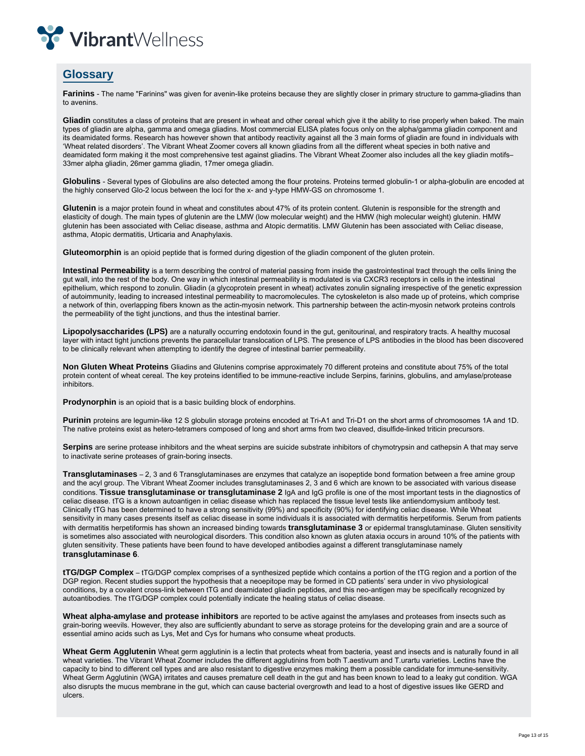

## **Glossary**

**Farinins** - The name "Farinins" was given for avenin-like proteins because they are slightly closer in primary structure to gamma-gliadins than to avenins.

**Gliadin** constitutes a class of proteins that are present in wheat and other cereal which give it the ability to rise properly when baked. The main types of gliadin are alpha, gamma and omega gliadins. Most commercial ELISA plates focus only on the alpha/gamma gliadin component and its deamidated forms. Research has however shown that antibody reactivity against all the 3 main forms of gliadin are found in individuals with 'Wheat related disorders'. The Vibrant Wheat Zoomer covers all known gliadins from all the different wheat species in both native and deamidated form making it the most comprehensive test against gliadins. The Vibrant Wheat Zoomer also includes all the key gliadin motifs– 33mer alpha gliadin, 26mer gamma gliadin, 17mer omega gliadin.

**Globulins** - Several types of Globulins are also detected among the flour proteins. Proteins termed globulin-1 or alpha-globulin are encoded at the highly conserved Glo-2 locus between the loci for the x- and y-type HMW-GS on chromosome 1.

**Glutenin** is a major protein found in wheat and constitutes about 47% of its protein content. Glutenin is responsible for the strength and elasticity of dough. The main types of glutenin are the LMW (low molecular weight) and the HMW (high molecular weight) glutenin. HMW glutenin has been associated with Celiac disease, asthma and Atopic dermatitis. LMW Glutenin has been associated with Celiac disease, asthma, Atopic dermatitis, Urticaria and Anaphylaxis.

**Gluteomorphin** is an opioid peptide that is formed during digestion of the gliadin component of the gluten protein.

**Intestinal Permeability** is a term describing the control of material passing from inside the gastrointestinal tract through the cells lining the gut wall, into the rest of the body. One way in which intestinal permeability is modulated is via CXCR3 receptors in cells in the intestinal epithelium, which respond to zonulin. Gliadin (a glycoprotein present in wheat) activates zonulin signaling irrespective of the genetic expression of autoimmunity, leading to increased intestinal permeability to macromolecules. The cytoskeleton is also made up of proteins, which comprise a network of thin, overlapping fibers known as the actin-myosin network. This partnership between the actin-myosin network proteins controls the permeability of the tight junctions, and thus the intestinal barrier.

**Lipopolysaccharides (LPS)** are a naturally occurring endotoxin found in the gut, genitourinal, and respiratory tracts. A healthy mucosal layer with intact tight junctions prevents the paracellular translocation of LPS. The presence of LPS antibodies in the blood has been discovered to be clinically relevant when attempting to identify the degree of intestinal barrier permeability.

**Non Gluten Wheat Proteins** Gliadins and Glutenins comprise approximately 70 different proteins and constitute about 75% of the total protein content of wheat cereal. The key proteins identified to be immune-reactive include Serpins, farinins, globulins, and amylase/protease inhibitors.

**Prodynorphin** is an opioid that is a basic building block of endorphins.

**Purinin** proteins are legumin-like 12 S globulin storage proteins encoded at Tri-A1 and Tri-D1 on the short arms of chromosomes 1A and 1D. The native proteins exist as hetero-tetramers composed of long and short arms from two cleaved, disulfide-linked triticin precursors.

**Serpins** are serine protease inhibitors and the wheat serpins are suicide substrate inhibitors of chymotrypsin and cathepsin A that may serve to inactivate serine proteases of grain-boring insects.

**Transglutaminases** – 2, 3 and 6 Transglutaminases are enzymes that catalyze an isopeptide bond formation between a free amine group and the acyl group. The Vibrant Wheat Zoomer includes transglutaminases 2, 3 and 6 which are known to be associated with various disease conditions. **Tissue transglutaminase or transglutaminase 2** IgA and IgG profile is one of the most important tests in the diagnostics of celiac disease. tTG is a known autoantigen in celiac disease which has replaced the tissue level tests like antiendomysium antibody test. Clinically tTG has been determined to have a strong sensitivity (99%) and specificity (90%) for identifying celiac disease. While Wheat sensitivity in many cases presents itself as celiac disease in some individuals it is associated with dermatitis herpetiformis. Serum from patients with dermatitis herpetiformis has shown an increased binding towards **transglutaminase 3** or epidermal transglutaminase. Gluten sensitivity is sometimes also associated with neurological disorders. This condition also known as gluten ataxia occurs in around 10% of the patients with gluten sensitivity. These patients have been found to have developed antibodies against a different transglutaminase namely **transglutaminase 6**.

**tTG/DGP Complex** – tTG/DGP complex comprises of a synthesized peptide which contains a portion of the tTG region and a portion of the DGP region. Recent studies support the hypothesis that a neoepitope may be formed in CD patients' sera under in vivo physiological conditions, by a covalent cross-link between tTG and deamidated gliadin peptides, and this neo-antigen may be specifically recognized by autoantibodies. The tTG/DGP complex could potentially indicate the healing status of celiac disease.

**Wheat alpha-amylase and protease inhibitors** are reported to be active against the amylases and proteases from insects such as grain-boring weevils. However, they also are sufficiently abundant to serve as storage proteins for the developing grain and are a source of essential amino acids such as Lys, Met and Cys for humans who consume wheat products.

**Wheat Germ Agglutenin** Wheat germ agglutinin is a lectin that protects wheat from bacteria, yeast and insects and is naturally found in all wheat varieties. The Vibrant Wheat Zoomer includes the different agglutinins from both T.aestivum and T.urartu varieties. Lectins have the capacity to bind to different cell types and are also resistant to digestive enzymes making them a possible candidate for immune-sensitivity. Wheat Germ Agglutinin (WGA) irritates and causes premature cell death in the gut and has been known to lead to a leaky gut condition. WGA also disrupts the mucus membrane in the gut, which can cause bacterial overgrowth and lead to a host of digestive issues like GERD and ulcers.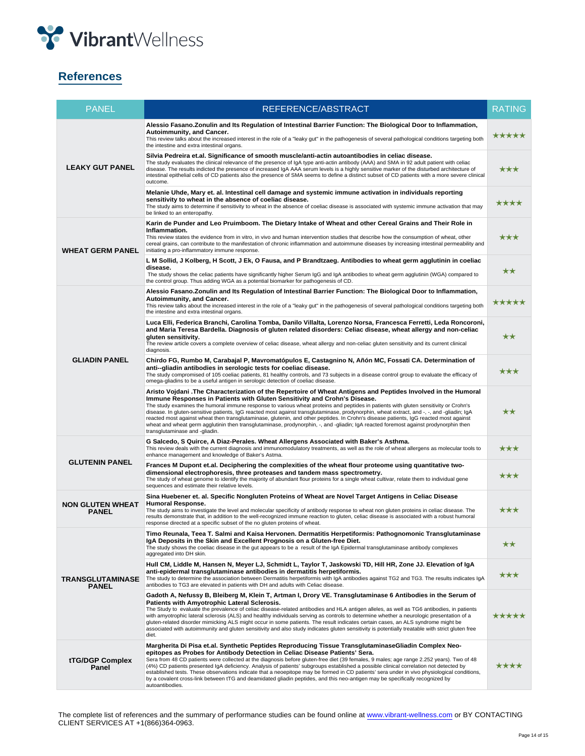

# **References**

| <b>PANEL</b>                            | REFERENCE/ABSTRACT                                                                                                                                                                                                                                                                                                                                                                                                                                                                                                                                                                                                                                                                                                                                                                                  | <b>RATING</b> |
|-----------------------------------------|-----------------------------------------------------------------------------------------------------------------------------------------------------------------------------------------------------------------------------------------------------------------------------------------------------------------------------------------------------------------------------------------------------------------------------------------------------------------------------------------------------------------------------------------------------------------------------------------------------------------------------------------------------------------------------------------------------------------------------------------------------------------------------------------------------|---------------|
| <b>LEAKY GUT PANEL</b>                  | Alessio Fasano. Zonulin and Its Regulation of Intestinal Barrier Function: The Biological Door to Inflammation,<br>Autoimmunity, and Cancer.<br>This review talks about the increased interest in the role of a "leaky gut" in the pathogenesis of several pathological conditions targeting both<br>the intestine and extra intestinal organs.                                                                                                                                                                                                                                                                                                                                                                                                                                                     |               |
|                                         | Silvia Pedreira et.al. Significance of smooth muscle/anti-actin autoantibodies in celiac disease.<br>The study evaluates the clinical relevance of the presence of IgA type anti-actin antibody (AAA) and SMA in 92 adult patient with celiac<br>disease. The results indicted the presence of increased IqA AAA serum levels is a highly sensitive marker of the disturbed architecture of<br>intestinal epithelial cells of CD patients also the presence of SMA seems to define a distinct subset of CD patients with a more severe clinical<br>outcome.                                                                                                                                                                                                                                         |               |
|                                         | Melanie Uhde, Mary et. al. Intestinal cell damage and systemic immune activation in individuals reporting<br>sensitivity to wheat in the absence of coeliac disease.<br>The study aims to determine if sensitivity to wheat in the absence of coeliac disease is associated with systemic immune activation that may<br>be linked to an enteropathy.                                                                                                                                                                                                                                                                                                                                                                                                                                                | ****          |
| <b>WHEAT GERM PANEL</b>                 | Karin de Punder and Leo Pruimboom. The Dietary Intake of Wheat and other Cereal Grains and Their Role in<br>Inflammation.<br>This review states the evidence from in vitro, in vivo and human intervention studies that describe how the consumption of wheat, other<br>cereal grains, can contribute to the manifestation of chronic inflammation and autoimmune diseases by increasing intestinal permeability and<br>initiating a pro-inflammatory immune response.                                                                                                                                                                                                                                                                                                                              | ***           |
|                                         | L M Sollid, J Kolberg, H Scott, J Ek, O Fausa, and P Brandtzaeg. Antibodies to wheat germ agglutinin in coeliac<br>disease.<br>The study shows the celiac patients have significantly higher Serum IgG and IgA antibodies to wheat germ agglutinin (WGA) compared to<br>the control group. Thus adding WGA as a potential biomarker for pathogenesis of CD.                                                                                                                                                                                                                                                                                                                                                                                                                                         | **            |
| <b>GLIADIN PANEL</b>                    | Alessio Fasano.Zonulin and Its Regulation of Intestinal Barrier Function: The Biological Door to Inflammation,<br>Autoimmunity, and Cancer.<br>This review talks about the increased interest in the role of a "leaky gut" in the pathogenesis of several pathological conditions targeting both<br>the intestine and extra intestinal organs.                                                                                                                                                                                                                                                                                                                                                                                                                                                      | *****         |
|                                         | Luca Elli, Federica Branchi, Carolina Tomba, Danilo Villalta, Lorenzo Norsa, Francesca Ferretti, Leda Roncoroni,<br>and Maria Teresa Bardella. Diagnosis of gluten related disorders: Celiac disease, wheat allergy and non-celiac<br>gluten sensitivity.<br>The review article covers a complete overview of celiac disease, wheat allergy and non-celiac gluten sensitivity and its current clinical<br>diagnosis.                                                                                                                                                                                                                                                                                                                                                                                | ★★            |
|                                         | Chirdo FG, Rumbo M, Carabajal P, Mavromatópulos E, Castagnino N, Añón MC, Fossati CA. Determination of<br>anti--gliadin antibodies in serologic tests for coeliac disease.<br>The study compromised of 105 coeliac patients, 81 healthy controls, and 73 subjects in a disease control group to evaluate the efficacy of<br>omega-gliadins to be a useful antigen in serologic detection of coeliac disease.                                                                                                                                                                                                                                                                                                                                                                                        | ***           |
|                                         | Aristo Vojdani .The Characterization of the Repertoire of Wheat Antigens and Peptides Involved in the Humoral<br>Immune Responses in Patients with Gluten Sensitivity and Crohn's Disease.<br>The study examines the humoral immune response to various wheat proteins and peptides in patients with gluten sensitivity or Crohn's<br>disease. In gluten-sensitive patients, IgG reacted most against transglutaminase, prodynorphin, wheat extract, and -, -, and -gliadin; IgA<br>reacted most against wheat then transglutaminase, glutenin, and other peptides. In Crohn's disease patients, IgG reacted most against<br>wheat and wheat germ agglutinin then transglutaminase, prodynorphin, -, and -gliadin; IgA reacted foremost against prodynorphin then<br>transglutaminase and -gliadin. | **            |
| <b>GLUTENIN PANEL</b>                   | G Salcedo, S Quirce, A Diaz-Perales. Wheat Allergens Associated with Baker's Asthma.<br>This review deals with the current diagnosis and immunomodulatory treatments, as well as the role of wheat allergens as molecular tools to<br>enhance management and knowledge of Baker's Astma.                                                                                                                                                                                                                                                                                                                                                                                                                                                                                                            |               |
|                                         | Frances M Dupont et.al. Deciphering the complexities of the wheat flour proteome using quantitative two-<br>dimensional electrophoresis, three proteases and tandem mass spectrometry.<br>The study of wheat genome to identify the majority of abundant flour proteins for a single wheat cultivar, relate them to individual gene<br>sequences and estimate their relative levels.                                                                                                                                                                                                                                                                                                                                                                                                                |               |
| <b>NON GLUTEN WHEAT</b><br><b>PANEL</b> | Sina Huebener et. al. Specific Nongluten Proteins of Wheat are Novel Target Antigens in Celiac Disease<br><b>Humoral Response.</b><br>The study aims to investigate the level and molecular specificity of antibody response to wheat non gluten proteins in celiac disease. The<br>results demonstrate that, in addition to the well-recognized immune reaction to gluten, celiac disease is associated with a robust humoral<br>response directed at a specific subset of the no gluten proteins of wheat.                                                                                                                                                                                                                                                                                        | ***           |
| TRANSGLUTAMINASE<br><b>PANEL</b>        | Timo Reunala, Teea T. Salmi and Kaisa Hervonen. Dermatitis Herpetiformis: Pathognomonic Transglutaminase<br>IgA Deposits in the Skin and Excellent Prognosis on a Gluten-free Diet.<br>The study shows the coeliac disease in the gut appears to be a result of the IgA Epidermal transglutaminase antibody complexes<br>aggregated into DH skin.                                                                                                                                                                                                                                                                                                                                                                                                                                                   | **            |
|                                         | Hull CM, Liddle M, Hansen N, Meyer LJ, Schmidt L, Taylor T, Jaskowski TD, Hill HR, Zone JJ. Elevation of IgA<br>anti-epidermal transglutaminase antibodies in dermatitis herpetiformis.<br>The study to determine the association between Dermatitis herpetiformis with IgA antibodies against TG2 and TG3. The results indicates IgA<br>antibodies to TG3 are elevated in patients with DH and adults with Celiac disease.                                                                                                                                                                                                                                                                                                                                                                         | ***           |
|                                         | Gadoth A, Nefussy B, Bleiberg M, Klein T, Artman I, Drory VE. Transglutaminase 6 Antibodies in the Serum of<br>Patients with Amyotrophic Lateral Sclerosis.<br>The Study to evaluate the prevalence of celiac disease-related antibodies and HLA antigen alleles, as well as TG6 antibodies, in patients<br>with amyotrophic lateral sclerosis (ALS) and healthy individuals serving as controls to determine whether a neurologic presentation of a<br>gluten-related disorder mimicking ALS might occur in some patients. The result indicates certain cases, an ALS syndrome might be<br>associated with autoimmunity and gluten sensitivity and also study indicates gluten sensitivity is potentially treatable with strict gluten free<br>diet.                                               | *****         |
| tTG/DGP Complex<br>Panel                | Margherita Di Pisa et.al. Synthetic Peptides Reproducing Tissue TransglutaminaseGliadin Complex Neo-<br>epitopes as Probes for Antibody Detection in Celiac Disease Patients' Sera.<br>Sera from 48 CD patients were collected at the diagnosis before gluten-free diet (39 females, 9 males; age range 2.252 years). Two of 48<br>(4%) CD patients presented IgA deficiency. Analysis of patients' subgroups established a possible clinical correlation not detected by<br>established tests. These observations indicate that a neoepitope may be formed in CD patients' sera under in vivo physiological conditions,<br>by a covalent cross-link between tTG and deamidated gliadin peptides, and this neo-antigen may be specifically recognized by<br>autoantibodies.                         | ****          |